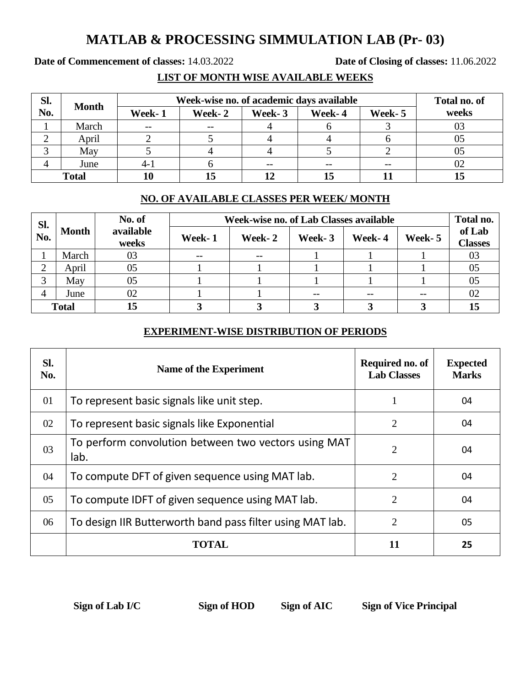## **MATLAB & PROCESSING SIMMULATION LAB (Pr- 03)**

**Date of Commencement of classes:** 14.03.2022 **Date of Closing of classes:** 11.06.2022

**LIST OF MONTH WISE AVAILABLE WEEKS**

| Sl.          | <b>Month</b> | Week-wise no. of academic days available | Total no. of |        |        |         |       |
|--------------|--------------|------------------------------------------|--------------|--------|--------|---------|-------|
| No.          |              | Week-1                                   | Week-2       | Week-3 | Week-4 | Week- 5 | weeks |
|              | March        | $- -$                                    | --           |        |        |         |       |
|              | April        |                                          |              |        |        |         |       |
|              | May          |                                          |              |        |        |         |       |
|              | June         | $4 - i$                                  |              | --     |        | --      |       |
| <b>Total</b> |              |                                          | 15           |        |        |         |       |

## **NO. OF AVAILABLE CLASSES PER WEEK/ MONTH**

| Sl.<br>No.   | <b>Month</b> | No. of<br>available<br>weeks | Week-wise no. of Lab Classes available | Total no. |        |        |        |                          |
|--------------|--------------|------------------------------|----------------------------------------|-----------|--------|--------|--------|--------------------------|
|              |              |                              | Week-1                                 | Week-2    | Week-3 | Week-4 | Week-5 | of Lab<br><b>Classes</b> |
|              | March        | 03                           | $- -$                                  | $- -$     |        |        |        | 03                       |
| ◠            | April        | 05                           |                                        |           |        |        |        | 05                       |
| 3            | May          | 05                           |                                        |           |        |        |        | 05                       |
| 4            | June         | 02                           |                                        |           |        |        |        | 02                       |
| <b>Total</b> |              | 15                           |                                        |           |        |        |        | 15                       |

## **EXPERIMENT-WISE DISTRIBUTION OF PERIODS**

| SI.<br>No. | Name of the Experiment                                       | Required no. of<br><b>Lab Classes</b> | <b>Expected</b><br><b>Marks</b> |
|------------|--------------------------------------------------------------|---------------------------------------|---------------------------------|
| 01         | To represent basic signals like unit step.                   |                                       | 04                              |
| 02         | To represent basic signals like Exponential                  | 2                                     | 04                              |
| 03         | To perform convolution between two vectors using MAT<br>lab. | $\overline{2}$                        | 04                              |
| 04         | To compute DFT of given sequence using MAT lab.              | $\overline{2}$                        | 04                              |
| 05         | To compute IDFT of given sequence using MAT lab.             | $\overline{2}$                        | 04                              |
| 06         | To design IIR Butterworth band pass filter using MAT lab.    | $\overline{2}$                        | 05                              |
|            | <b>TOTAL</b>                                                 | 11                                    | 25                              |